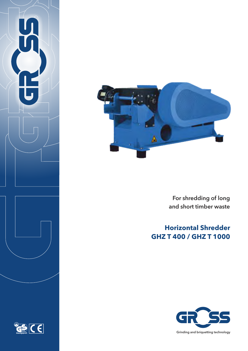

 For shredding of long and short timber waste

# **Horizontal Shredder GHZ T 400 / GHZ T 1000**



 $|C \epsilon|$ <u>es</u>